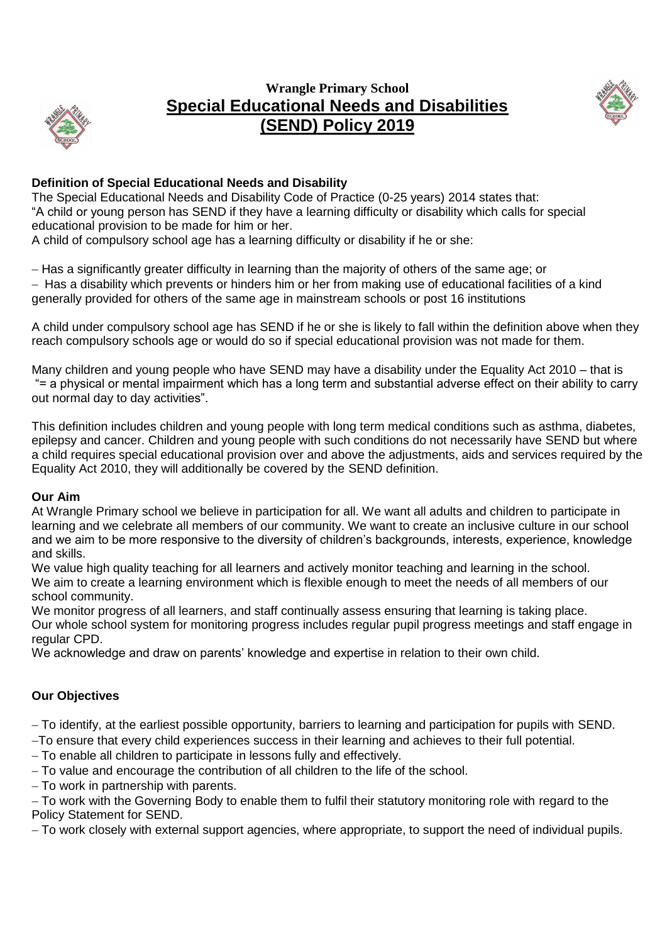

# **Wrangle Primary School Special Educational Needs and Disabilities (SEND) Policy 2019**



## **Definition of Special Educational Needs and Disability**

The Special Educational Needs and Disability Code of Practice (0-25 years) 2014 states that: "A child or young person has SEND if they have a learning difficulty or disability which calls for special educational provision to be made for him or her.

A child of compulsory school age has a learning difficulty or disability if he or she:

– Has a significantly greater difficulty in learning than the majority of others of the same age; or - Has a disability which prevents or hinders him or her from making use of educational facilities of a kind generally provided for others of the same age in mainstream schools or post 16 institutions

A child under compulsory school age has SEND if he or she is likely to fall within the definition above when they reach compulsory schools age or would do so if special educational provision was not made for them.

Many children and young people who have SEND may have a disability under the Equality Act 2010 – that is "= a physical or mental impairment which has a long term and substantial adverse effect on their ability to carry out normal day to day activities".

This definition includes children and young people with long term medical conditions such as asthma, diabetes, epilepsy and cancer. Children and young people with such conditions do not necessarily have SEND but where a child requires special educational provision over and above the adjustments, aids and services required by the Equality Act 2010, they will additionally be covered by the SEND definition.

#### **Our Aim**

At Wrangle Primary school we believe in participation for all. We want all adults and children to participate in learning and we celebrate all members of our community. We want to create an inclusive culture in our school and we aim to be more responsive to the diversity of children's backgrounds, interests, experience, knowledge and skills.

We value high quality teaching for all learners and actively monitor teaching and learning in the school. We aim to create a learning environment which is flexible enough to meet the needs of all members of our school community.

We monitor progress of all learners, and staff continually assess ensuring that learning is taking place. Our whole school system for monitoring progress includes regular pupil progress meetings and staff engage in regular CPD.

We acknowledge and draw on parents' knowledge and expertise in relation to their own child.

## **Our Objectives**

To identify, at the earliest possible opportunity, barriers to learning and participation for pupils with SEND.

- To ensure that every child experiences success in their learning and achieves to their full potential.
- To enable all children to participate in lessons fully and effectively.
- To value and encourage the contribution of all children to the life of the school.
- To work in partnership with parents.

To work with the Governing Body to enable them to fulfil their statutory monitoring role with regard to the Policy Statement for SEND.

To work closely with external support agencies, where appropriate, to support the need of individual pupils.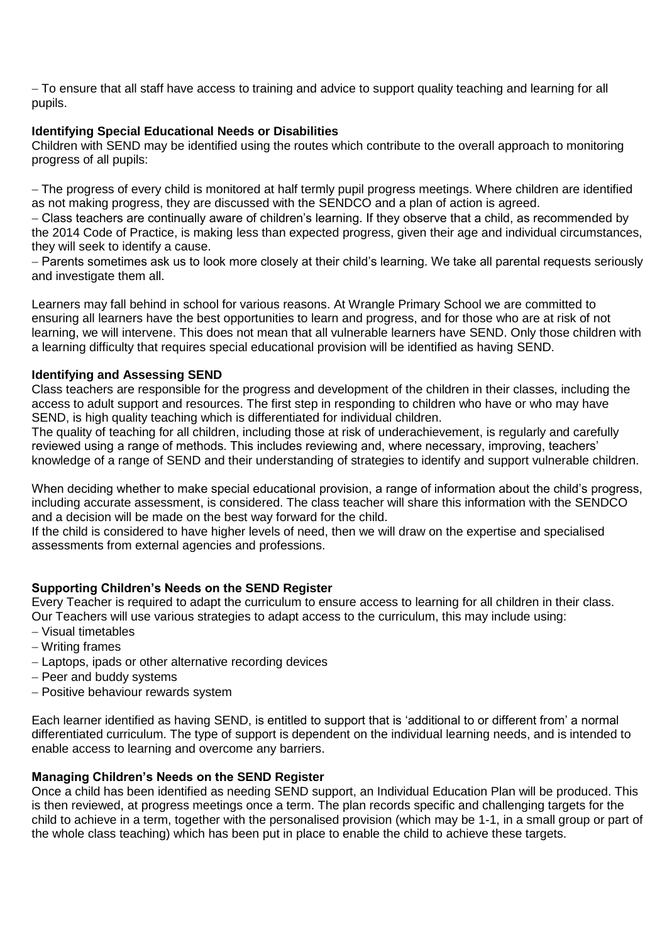To ensure that all staff have access to training and advice to support quality teaching and learning for all pupils.

### **Identifying Special Educational Needs or Disabilities**

Children with SEND may be identified using the routes which contribute to the overall approach to monitoring progress of all pupils:

The progress of every child is monitored at half termly pupil progress meetings. Where children are identified as not making progress, they are discussed with the SENDCO and a plan of action is agreed.

Class teachers are continually aware of children's learning. If they observe that a child, as recommended by the 2014 Code of Practice, is making less than expected progress, given their age and individual circumstances, they will seek to identify a cause.

- Parents sometimes ask us to look more closely at their child's learning. We take all parental requests seriously and investigate them all.

Learners may fall behind in school for various reasons. At Wrangle Primary School we are committed to ensuring all learners have the best opportunities to learn and progress, and for those who are at risk of not learning, we will intervene. This does not mean that all vulnerable learners have SEND. Only those children with a learning difficulty that requires special educational provision will be identified as having SEND.

#### **Identifying and Assessing SEND**

Class teachers are responsible for the progress and development of the children in their classes, including the access to adult support and resources. The first step in responding to children who have or who may have SEND, is high quality teaching which is differentiated for individual children.

The quality of teaching for all children, including those at risk of underachievement, is regularly and carefully reviewed using a range of methods. This includes reviewing and, where necessary, improving, teachers' knowledge of a range of SEND and their understanding of strategies to identify and support vulnerable children.

When deciding whether to make special educational provision, a range of information about the child's progress, including accurate assessment, is considered. The class teacher will share this information with the SENDCO and a decision will be made on the best way forward for the child.

If the child is considered to have higher levels of need, then we will draw on the expertise and specialised assessments from external agencies and professions.

## **Supporting Children's Needs on the SEND Register**

Every Teacher is required to adapt the curriculum to ensure access to learning for all children in their class. Our Teachers will use various strategies to adapt access to the curriculum, this may include using:

- Visual timetables
- Writing frames
- Laptops, ipads or other alternative recording devices
- Peer and buddy systems
- Positive behaviour rewards system

Each learner identified as having SEND, is entitled to support that is 'additional to or different from' a normal differentiated curriculum. The type of support is dependent on the individual learning needs, and is intended to enable access to learning and overcome any barriers.

#### **Managing Children's Needs on the SEND Register**

Once a child has been identified as needing SEND support, an Individual Education Plan will be produced. This is then reviewed, at progress meetings once a term. The plan records specific and challenging targets for the child to achieve in a term, together with the personalised provision (which may be 1-1, in a small group or part of the whole class teaching) which has been put in place to enable the child to achieve these targets.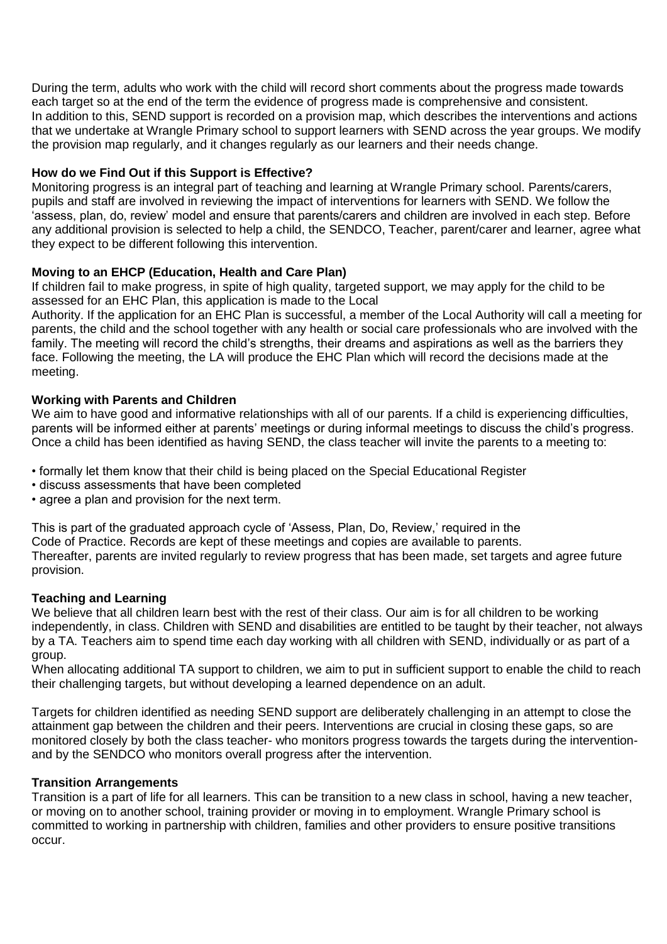During the term, adults who work with the child will record short comments about the progress made towards each target so at the end of the term the evidence of progress made is comprehensive and consistent. In addition to this, SEND support is recorded on a provision map, which describes the interventions and actions that we undertake at Wrangle Primary school to support learners with SEND across the year groups. We modify the provision map regularly, and it changes regularly as our learners and their needs change.

### **How do we Find Out if this Support is Effective?**

Monitoring progress is an integral part of teaching and learning at Wrangle Primary school. Parents/carers, pupils and staff are involved in reviewing the impact of interventions for learners with SEND. We follow the 'assess, plan, do, review' model and ensure that parents/carers and children are involved in each step. Before any additional provision is selected to help a child, the SENDCO, Teacher, parent/carer and learner, agree what they expect to be different following this intervention.

### **Moving to an EHCP (Education, Health and Care Plan)**

If children fail to make progress, in spite of high quality, targeted support, we may apply for the child to be assessed for an EHC Plan, this application is made to the Local

Authority. If the application for an EHC Plan is successful, a member of the Local Authority will call a meeting for parents, the child and the school together with any health or social care professionals who are involved with the family. The meeting will record the child's strengths, their dreams and aspirations as well as the barriers they face. Following the meeting, the LA will produce the EHC Plan which will record the decisions made at the meeting.

#### **Working with Parents and Children**

We aim to have good and informative relationships with all of our parents. If a child is experiencing difficulties, parents will be informed either at parents' meetings or during informal meetings to discuss the child's progress. Once a child has been identified as having SEND, the class teacher will invite the parents to a meeting to:

- formally let them know that their child is being placed on the Special Educational Register
- discuss assessments that have been completed
- agree a plan and provision for the next term.

This is part of the graduated approach cycle of 'Assess, Plan, Do, Review,' required in the Code of Practice. Records are kept of these meetings and copies are available to parents. Thereafter, parents are invited regularly to review progress that has been made, set targets and agree future provision.

#### **Teaching and Learning**

We believe that all children learn best with the rest of their class. Our aim is for all children to be working independently, in class. Children with SEND and disabilities are entitled to be taught by their teacher, not always by a TA. Teachers aim to spend time each day working with all children with SEND, individually or as part of a group.

When allocating additional TA support to children, we aim to put in sufficient support to enable the child to reach their challenging targets, but without developing a learned dependence on an adult.

Targets for children identified as needing SEND support are deliberately challenging in an attempt to close the attainment gap between the children and their peers. Interventions are crucial in closing these gaps, so are monitored closely by both the class teacher- who monitors progress towards the targets during the interventionand by the SENDCO who monitors overall progress after the intervention.

#### **Transition Arrangements**

Transition is a part of life for all learners. This can be transition to a new class in school, having a new teacher, or moving on to another school, training provider or moving in to employment. Wrangle Primary school is committed to working in partnership with children, families and other providers to ensure positive transitions occur.